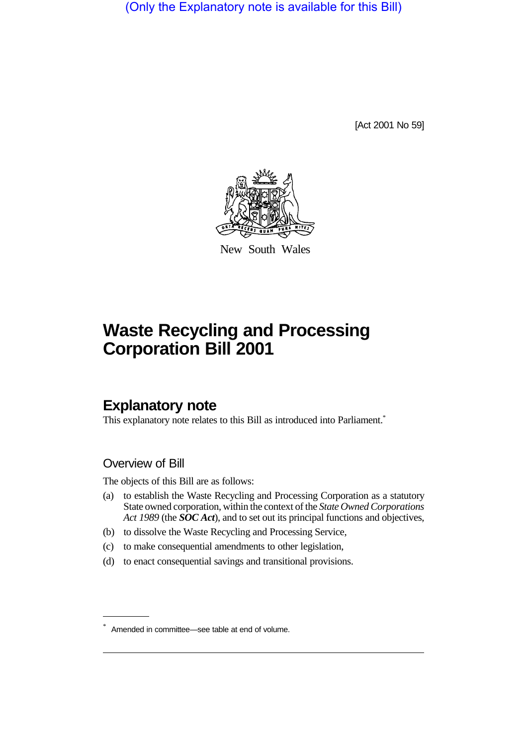(Only the Explanatory note is available for this Bill)

[Act 2001 No 59]



New South Wales

# **Waste Recycling and Processing Corporation Bill 2001**

## **Explanatory note**

This explanatory note relates to this Bill as introduced into Parliament.<sup>\*</sup>

#### Overview of Bill

The objects of this Bill are as follows:

- (a) to establish the Waste Recycling and Processing Corporation as a statutory State owned corporation, within the context of the *State Owned Corporations Act 1989* (the *SOC Act*), and to set out its principal functions and objectives,
- (b) to dissolve the Waste Recycling and Processing Service,
- (c) to make consequential amendments to other legislation,
- (d) to enact consequential savings and transitional provisions.

<sup>\*</sup> Amended in committee—see table at end of volume.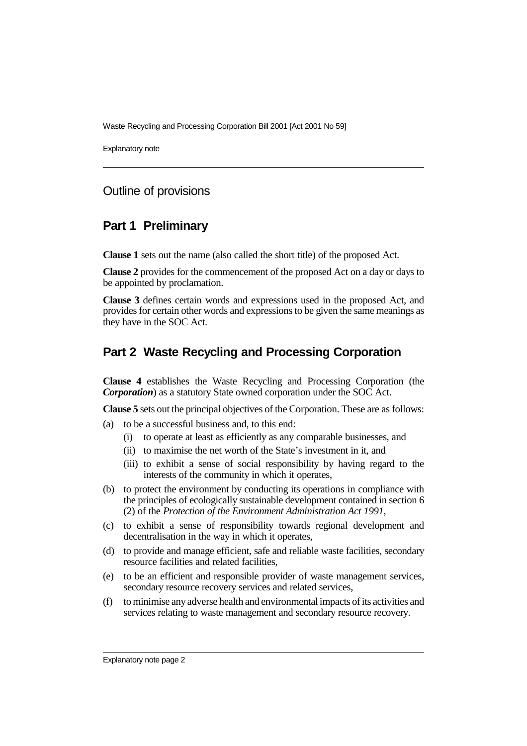Waste Recycling and Processing Corporation Bill 2001 [Act 2001 No 59]

Explanatory note

#### Outline of provisions

#### **Part 1 Preliminary**

**Clause 1** sets out the name (also called the short title) of the proposed Act.

**Clause 2** provides for the commencement of the proposed Act on a day or days to be appointed by proclamation.

**Clause 3** defines certain words and expressions used in the proposed Act, and provides for certain other words and expressions to be given the same meanings as they have in the SOC Act.

### **Part 2 Waste Recycling and Processing Corporation**

**Clause 4** establishes the Waste Recycling and Processing Corporation (the *Corporation*) as a statutory State owned corporation under the SOC Act.

**Clause 5** sets out the principal objectives of the Corporation. These are as follows:

- (a) to be a successful business and, to this end:
	- (i) to operate at least as efficiently as any comparable businesses, and
	- (ii) to maximise the net worth of the State's investment in it, and
	- (iii) to exhibit a sense of social responsibility by having regard to the interests of the community in which it operates,
- (b) to protect the environment by conducting its operations in compliance with the principles of ecologically sustainable development contained in section 6 (2) of the *Protection of the Environment Administration Act 1991*,
- (c) to exhibit a sense of responsibility towards regional development and decentralisation in the way in which it operates,
- (d) to provide and manage efficient, safe and reliable waste facilities, secondary resource facilities and related facilities,
- (e) to be an efficient and responsible provider of waste management services, secondary resource recovery services and related services,
- (f) to minimise any adverse health and environmental impacts of its activities and services relating to waste management and secondary resource recovery.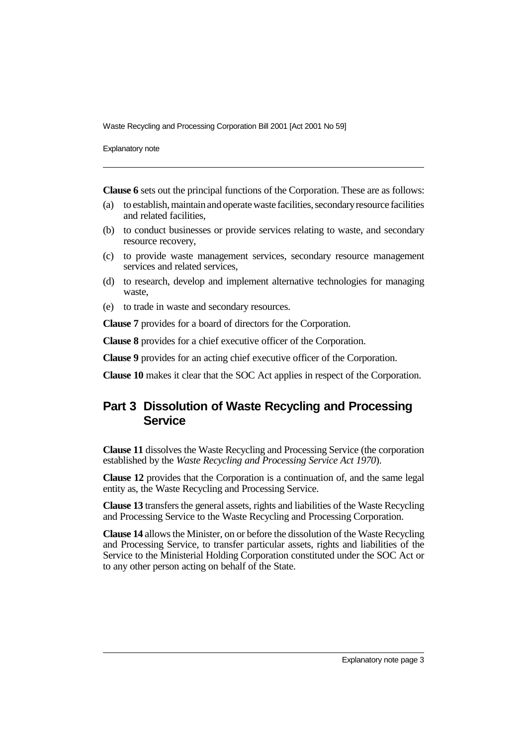Waste Recycling and Processing Corporation Bill 2001 [Act 2001 No 59]

Explanatory note

**Clause 6** sets out the principal functions of the Corporation. These are as follows:

- (a) to establish, maintain and operate waste facilities, secondary resource facilities and related facilities,
- (b) to conduct businesses or provide services relating to waste, and secondary resource recovery,
- (c) to provide waste management services, secondary resource management services and related services,
- (d) to research, develop and implement alternative technologies for managing waste,
- (e) to trade in waste and secondary resources.

**Clause 7** provides for a board of directors for the Corporation.

**Clause 8** provides for a chief executive officer of the Corporation.

**Clause 9** provides for an acting chief executive officer of the Corporation.

**Clause 10** makes it clear that the SOC Act applies in respect of the Corporation.

## **Part 3 Dissolution of Waste Recycling and Processing Service**

**Clause 11** dissolves the Waste Recycling and Processing Service (the corporation established by the *Waste Recycling and Processing Service Act 1970*).

**Clause 12** provides that the Corporation is a continuation of, and the same legal entity as, the Waste Recycling and Processing Service.

**Clause 13** transfers the general assets, rights and liabilities of the Waste Recycling and Processing Service to the Waste Recycling and Processing Corporation.

**Clause 14** allows the Minister, on or before the dissolution of the Waste Recycling and Processing Service, to transfer particular assets, rights and liabilities of the Service to the Ministerial Holding Corporation constituted under the SOC Act or to any other person acting on behalf of the State.